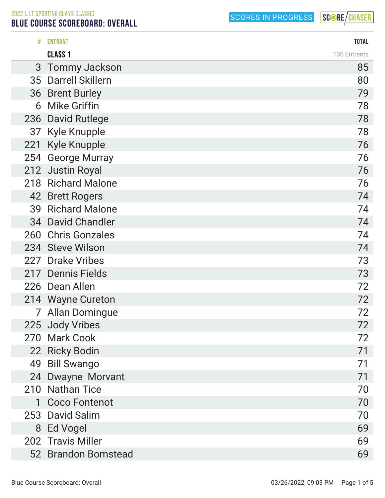## BLUE COURSE SCOREBOARD: OVERALL

SCORES IN PROGRESS

| #   | <b>ENTRANT</b>        | <b>TOTAL</b> |
|-----|-----------------------|--------------|
|     | <b>CLASS 1</b>        | 136 Entrants |
|     | 3 Tommy Jackson       | 85           |
|     | 35 Darrell Skillern   | 80           |
|     | 36 Brent Burley       | 79           |
|     | 6 Mike Griffin        | 78           |
|     | 236 David Rutlege     | 78           |
|     | 37 Kyle Knupple       | 78           |
| 221 | <b>Kyle Knupple</b>   | 76           |
|     | 254 George Murray     | 76           |
|     | 212 Justin Royal      | 76           |
|     | 218 Richard Malone    | 76           |
|     | 42 Brett Rogers       | 74           |
|     | 39 Richard Malone     | 74           |
|     | 34 David Chandler     | 74           |
|     | 260 Chris Gonzales    | 74           |
|     | 234 Steve Wilson      | 74           |
|     | 227 Drake Vribes      | 73           |
|     | 217 Dennis Fields     | 73           |
|     | 226 Dean Allen        | 72           |
|     | 214 Wayne Cureton     | 72           |
|     | <b>Allan Domingue</b> | 72           |
|     | 225 Jody Vribes       | 72           |
|     | 270 Mark Cook         | 72           |
|     | 22 Ricky Bodin        | 71           |
|     | 49 Bill Swango        | 71           |
|     | 24 Dwayne Morvant     | 71           |
|     | 210 Nathan Tice       | 70           |
| 1   | <b>Coco Fontenot</b>  | 70           |
|     | 253 David Salim       | 70           |
|     | 8 Ed Vogel            | 69           |
|     | 202 Travis Miller     | 69           |
|     | 52 Brandon Bomstead   | 69           |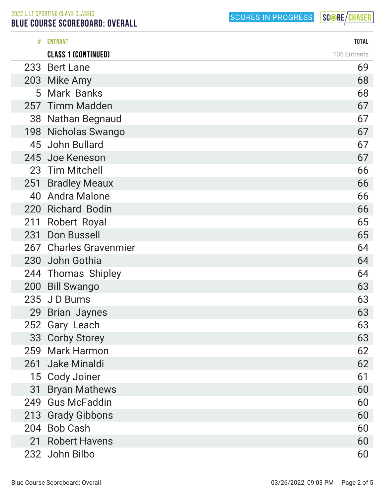BLUE COURSE SCOREBOARD: OVERALL

SCORES IN PROGRESS

| #   | <b>ENTRANT</b>             | <b>TOTAL</b> |
|-----|----------------------------|--------------|
|     | <b>CLASS 1 (CONTINUED)</b> | 136 Entrants |
|     | 233 Bert Lane              | 69           |
|     | 203 Mike Amy               | 68           |
|     | 5 Mark Banks               | 68           |
|     | 257 Timm Madden            | 67           |
|     | 38 Nathan Begnaud          | 67           |
|     | 198 Nicholas Swango        | 67           |
|     | 45 John Bullard            | 67           |
|     | 245 Joe Keneson            | 67           |
|     | 23 Tim Mitchell            | 66           |
|     | 251 Bradley Meaux          | 66           |
|     | 40 Andra Malone            | 66           |
|     | 220 Richard Bodin          | 66           |
|     | 211 Robert Royal           | 65           |
|     | 231 Don Bussell            | 65           |
|     | 267 Charles Gravenmier     | 64           |
|     | 230 John Gothia            | 64           |
|     | 244 Thomas Shipley         | 64           |
|     | 200 Bill Swango            | 63           |
|     | 235 JD Burns               | 63           |
|     | 29 Brian Jaynes            | 63           |
|     | 252 Gary Leach             | 63           |
|     | 33 Corby Storey            | 63           |
|     | 259 Mark Harmon            | 62           |
| 261 | Jake Minaldi               | 62           |
|     | 15 Cody Joiner             | 61           |
| 31  | <b>Bryan Mathews</b>       | 60           |
| 249 | <b>Gus McFaddin</b>        | 60           |
|     | 213 Grady Gibbons          | 60           |
|     | 204 Bob Cash               | 60           |
|     | 21 Robert Havens           | 60           |
|     | 232 John Bilbo             | 60           |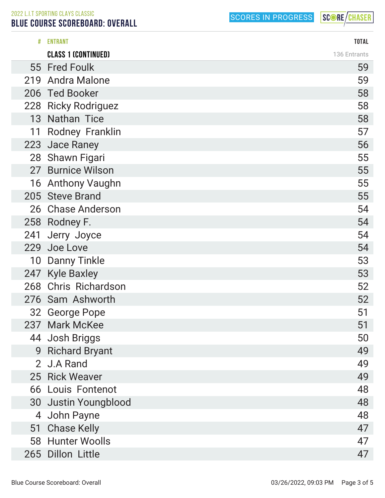BLUE COURSE SCOREBOARD: OVERALL

| #  | <b>ENTRANT</b>             | <b>TOTAL</b> |
|----|----------------------------|--------------|
|    | <b>CLASS 1 (CONTINUED)</b> | 136 Entrants |
|    | 55 Fred Foulk              | 59           |
|    | 219 Andra Malone           | 59           |
|    | 206 Ted Booker             | 58           |
|    | 228 Ricky Rodriguez        | 58           |
|    | 13 Nathan Tice             | 58           |
| 11 | <b>Rodney Franklin</b>     | 57           |
|    | 223 Jace Raney             | 56           |
|    | 28 Shawn Figari            | 55           |
|    | 27 Burnice Wilson          | 55           |
|    | 16 Anthony Vaughn          | 55           |
|    | 205 Steve Brand            | 55           |
|    | 26 Chase Anderson          | 54           |
|    | 258 Rodney F.              | 54           |
|    | 241 Jerry Joyce            | 54           |
|    | 229 Joe Love               | 54           |
| 10 | <b>Danny Tinkle</b>        | 53           |
|    | 247 Kyle Baxley            | 53           |
|    | 268 Chris Richardson       | 52           |
|    | 276 Sam Ashworth           | 52           |
| 32 | <b>George Pope</b>         | 51           |
|    | 237 Mark McKee             | 51           |
|    | 44 Josh Briggs             | 50           |
| 9  | <b>Richard Bryant</b>      | 49           |
|    | 2 J.A Rand                 | 49           |
|    | 25 Rick Weaver             | 49           |
|    | 66 Louis Fontenot          | 48           |
|    | 30 Justin Youngblood       | 48           |
| 4  | John Payne                 | 48           |
| 51 | <b>Chase Kelly</b>         | 47           |
|    | 58 Hunter Woolls           | 47           |
|    | 265 Dillon Little          | 47           |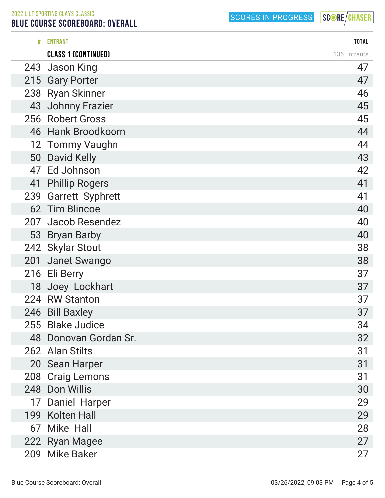## BLUE COURSE SCOREBOARD: OVERALL

SCORES IN PROGRESS

| #  | <b>ENTRANT</b>             | <b>TOTAL</b> |
|----|----------------------------|--------------|
|    | <b>CLASS 1 (CONTINUED)</b> | 136 Entrants |
|    | 243 Jason King             | 47           |
|    | 215 Gary Porter            | 47           |
|    | 238 Ryan Skinner           | 46           |
|    | 43 Johnny Frazier          | 45           |
|    | 256 Robert Gross           | 45           |
|    | 46 Hank Broodkoorn         | 44           |
|    | 12 Tommy Vaughn            | 44           |
|    | 50 David Kelly             | 43           |
|    | 47 Ed Johnson              | 42           |
| 41 | <b>Phillip Rogers</b>      | 41           |
|    | 239 Garrett Syphrett       | 41           |
|    | 62 Tim Blincoe             | 40           |
|    | 207 Jacob Resendez         | 40           |
|    | 53 Bryan Barby             | 40           |
|    | 242 Skylar Stout           | 38           |
|    | 201 Janet Swango           | 38           |
|    | 216 Eli Berry              | 37           |
|    | 18 Joey Lockhart           | 37           |
|    | 224 RW Stanton             | 37           |
|    | 246 Bill Baxley            | 37           |
|    | 255 Blake Judice           | 34           |
|    | 48 Donovan Gordan Sr.      | 32           |
|    | 262 Alan Stilts            | 31           |
|    | 20 Sean Harper             | 31           |
|    | 208 Craig Lemons           | 31           |
|    | 248 Don Willis             | 30           |
|    | 17 Daniel Harper           | 29           |
|    | 199 Kolten Hall            | 29           |
|    | 67 Mike Hall               | 28           |
|    | 222 Ryan Magee             | 27           |
|    | 209 Mike Baker             | 27           |